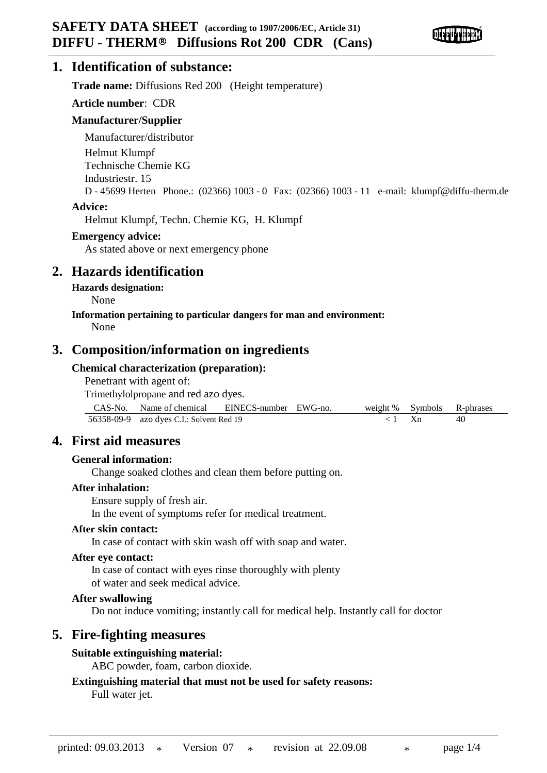# **1. Identification of substance:**

**Trade name:** Diffusions Red 200 (Height temperature)

### **Article number**: CDR

## **Manufacturer/Supplier**

Manufacturer/distributor Helmut Klumpf Technische Chemie KG Industriestr. 15 D - 45699 Herten Phone.: (02366) 1003 - 0 Fax: (02366) 1003 - 11 e-mail: klumpf@diffu-therm.de

## **Advice:**

Helmut Klumpf, Techn. Chemie KG, H. Klumpf

### **Emergency advice:**

As stated above or next emergency phone

# **2. Hazards identification**

**Hazards designation:**

None

#### **Information pertaining to particular dangers for man and environment:** None

# **3. Composition/information on ingredients**

## **Chemical characterization (preparation):**

Penetrant with agent of:

Trimethylolpropane and red azo dyes.

| CAS-No. Name of chemical EINECS-number EWG-no. |  |  |                        | weight % Symbols R-phrases |  |
|------------------------------------------------|--|--|------------------------|----------------------------|--|
| 56358-09-9 azo dyes C.I.: Solvent Red 19       |  |  | $\langle 1 \rangle$ Xn | 40                         |  |

# **4. First aid measures**

### **General information:**

Change soaked clothes and clean them before putting on.

### **After inhalation:**

Ensure supply of fresh air.

In the event of symptoms refer for medical treatment.

### **After skin contact:**

In case of contact with skin wash off with soap and water.

### **After eye contact:**

In case of contact with eyes rinse thoroughly with plenty of water and seek medical advice.

### **After swallowing**

Do not induce vomiting; instantly call for medical help. Instantly call for doctor

# **5. Fire-fighting measures**

# **Suitable extinguishing material:**

ABC powder, foam, carbon dioxide.

# **Extinguishing material that must not be used for safety reasons:**

Full water jet.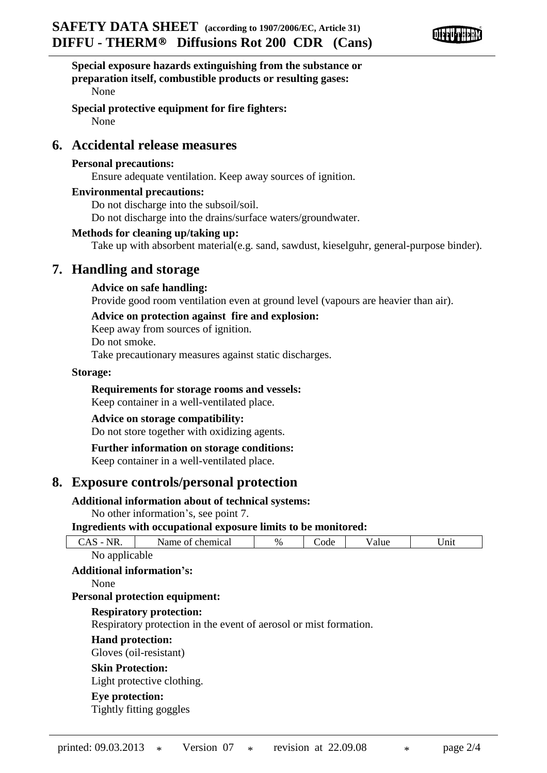

**Special exposure hazards extinguishing from the substance or preparation itself, combustible products or resulting gases:** None

**Special protective equipment for fire fighters:** None

# **6. Accidental release measures**

### **Personal precautions:**

Ensure adequate ventilation. Keep away sources of ignition.

### **Environmental precautions:**

Do not discharge into the subsoil/soil.

Do not discharge into the drains/surface waters/groundwater.

## **Methods for cleaning up/taking up:**

Take up with absorbent material(e.g. sand, sawdust, kieselguhr, general-purpose binder).

# **7. Handling and storage**

## **Advice on safe handling:**

Provide good room ventilation even at ground level (vapours are heavier than air).

## **Advice on protection against fire and explosion:**

Keep away from sources of ignition. Do not smoke.

Take precautionary measures against static discharges.

### **Storage:**

## **Requirements for storage rooms and vessels:**

Keep container in a well-ventilated place.

# **Advice on storage compatibility:**

Do not store together with oxidizing agents.

# **Further information on storage conditions:** Keep container in a well-ventilated place.

# **8. Exposure controls/personal protection**

## **Additional information about of technical systems:**

No other information's, see point 7.

## **Ingredients with occupational exposure limits to be monitored:**

| $CAS - NR$ .                                                      | Name of chemical | $\frac{0}{0}$ | Code | Value | Unit |  |  |
|-------------------------------------------------------------------|------------------|---------------|------|-------|------|--|--|
| No applicable                                                     |                  |               |      |       |      |  |  |
| <b>Additional information's:</b>                                  |                  |               |      |       |      |  |  |
| None                                                              |                  |               |      |       |      |  |  |
| <b>Personal protection equipment:</b>                             |                  |               |      |       |      |  |  |
| <b>Respiratory protection:</b>                                    |                  |               |      |       |      |  |  |
| Respiratory protection in the event of aerosol or mist formation. |                  |               |      |       |      |  |  |
| <b>Hand protection:</b>                                           |                  |               |      |       |      |  |  |
| Gloves (oil-resistant)                                            |                  |               |      |       |      |  |  |
| <b>Skin Protection:</b>                                           |                  |               |      |       |      |  |  |
| Light protective clothing.                                        |                  |               |      |       |      |  |  |
| <b>Eye</b> protection:                                            |                  |               |      |       |      |  |  |
| Tightly fitting goggles                                           |                  |               |      |       |      |  |  |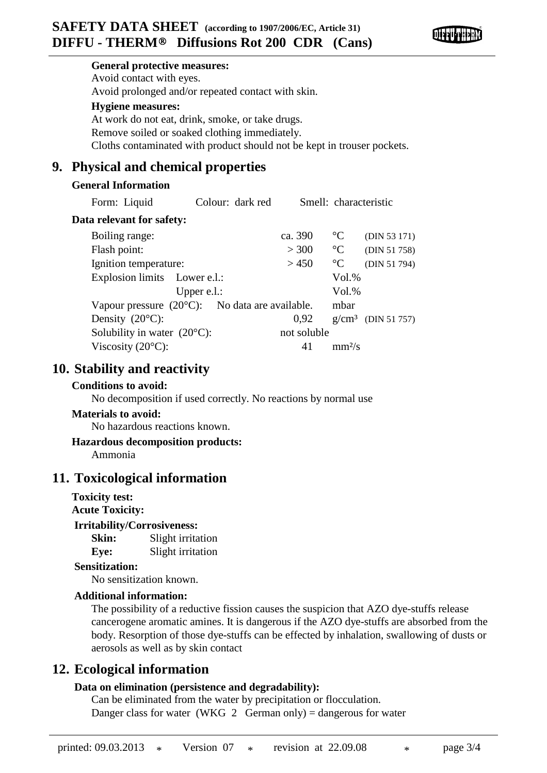

# Avoid contact with eyes. Avoid prolonged and/or repeated contact with skin. **Hygiene measures:** At work do not eat, drink, smoke, or take drugs. Remove soiled or soaked clothing immediately. Cloths contaminated with product should not be kept in trouser pockets.

# **9. Physical and chemical properties**

**General protective measures:**

# **General Information**

| Form: Liquid                                             | Colour: dark red |             | Smell: characteristic |                       |
|----------------------------------------------------------|------------------|-------------|-----------------------|-----------------------|
| Data relevant for safety:                                |                  |             |                       |                       |
| Boiling range:                                           |                  | ca. 390     | $\rm ^{\circ}C$       | (DIN 53 171)          |
| Flash point:                                             |                  | > 300       | $\rm ^{\circ}C$       | (DIN 51 758)          |
| Ignition temperature:                                    |                  | >450        | $\rm ^{\circ}C$       | (DIN 51 794)          |
| Explosion limits Lower e.l.:                             |                  |             | Vol. %                |                       |
| Upper $e.l.$ :                                           |                  |             | Vol. %                |                       |
| Vapour pressure $(20^{\circ}C)$ : No data are available. |                  |             | mbar                  |                       |
| Density $(20^{\circ}C)$ :                                |                  | 0.92        |                       | $g/cm^3$ (DIN 51 757) |
| Solubility in water $(20^{\circ}C)$ :                    |                  | not soluble |                       |                       |
| Viscosity $(20^{\circ}C)$ :                              |                  | 41          | $mm^2/s$              |                       |

# **10. Stability and reactivity**

# **Conditions to avoid:**

No decomposition if used correctly. No reactions by normal use

## **Materials to avoid:**

No hazardous reactions known.

#### **Hazardous decomposition products:** Ammonia

# **11. Toxicological information**

- **Toxicity test:**
- **Acute Toxicity:**

**Irritability/Corrosiveness:**

**Skin:** Slight irritation

**Eye:** Slight irritation

## **Sensitization:**

No sensitization known.

# **Additional information:**

The possibility of a reductive fission causes the suspicion that AZO dye-stuffs release cancerogene aromatic amines. It is dangerous if the AZO dye-stuffs are absorbed from the body. Resorption of those dye-stuffs can be effected by inhalation, swallowing of dusts or aerosols as well as by skin contact

# **12. Ecological information**

# **Data on elimination (persistence and degradability):**

Can be eliminated from the water by precipitation or flocculation. Danger class for water (WKG 2 German only) = dangerous for water